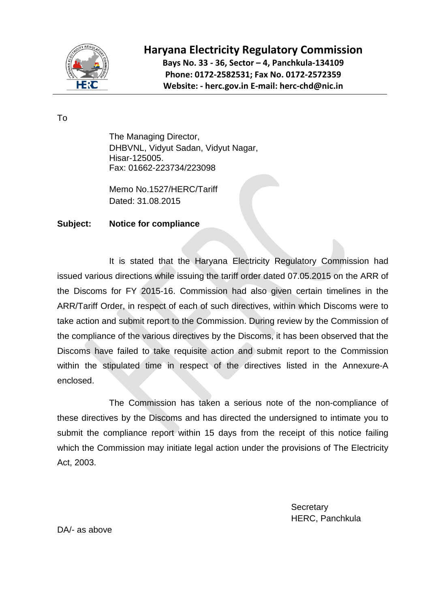

## **Haryana Electricity Regulatory Commission**

**Bays No. 33 - 36, Sector – 4, Panchkula-134109 Phone: 0172-2582531; Fax No. 0172-2572359 Website: - herc.gov.in E-mail: herc-chd@nic.in**

To

The Managing Director, DHBVNL, Vidyut Sadan, Vidyut Nagar, Hisar-125005. Fax: 01662-223734/223098

Memo No.1527/HERC/Tariff Dated: 31.08.2015

## **Subject: Notice for compliance**

It is stated that the Haryana Electricity Regulatory Commission had issued various directions while issuing the tariff order dated 07.05.2015 on the ARR of the Discoms for FY 2015-16. Commission had also given certain timelines in the ARR/Tariff Order, in respect of each of such directives, within which Discoms were to take action and submit report to the Commission. During review by the Commission of the compliance of the various directives by the Discoms, it has been observed that the Discoms have failed to take requisite action and submit report to the Commission within the stipulated time in respect of the directives listed in the Annexure-A enclosed.

The Commission has taken a serious note of the non-compliance of these directives by the Discoms and has directed the undersigned to intimate you to submit the compliance report within 15 days from the receipt of this notice failing which the Commission may initiate legal action under the provisions of The Electricity Act, 2003.

> **Secretary** HERC, Panchkula

DA/- as above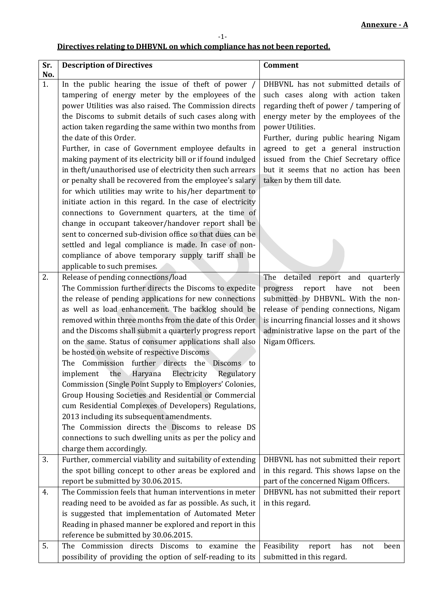## **Directives relating to DHBVNL on which compliance has not been reported.**

-1-

| Sr.<br>No. | <b>Description of Directives</b>                                                                                                                                                                                                                                                                                                                                                                                                                                                                                                                                                                                                                                                                                                                                                                                                                                                                                                                                                       | <b>Comment</b>                                                                                                                                                                                                                                                                                                                                                                |
|------------|----------------------------------------------------------------------------------------------------------------------------------------------------------------------------------------------------------------------------------------------------------------------------------------------------------------------------------------------------------------------------------------------------------------------------------------------------------------------------------------------------------------------------------------------------------------------------------------------------------------------------------------------------------------------------------------------------------------------------------------------------------------------------------------------------------------------------------------------------------------------------------------------------------------------------------------------------------------------------------------|-------------------------------------------------------------------------------------------------------------------------------------------------------------------------------------------------------------------------------------------------------------------------------------------------------------------------------------------------------------------------------|
| 1.         | In the public hearing the issue of theft of power /<br>tampering of energy meter by the employees of the<br>power Utilities was also raised. The Commission directs<br>the Discoms to submit details of such cases along with<br>action taken regarding the same within two months from<br>the date of this Order.<br>Further, in case of Government employee defaults in<br>making payment of its electricity bill or if found indulged<br>in theft/unauthorised use of electricity then such arrears<br>or penalty shall be recovered from the employee's salary<br>for which utilities may write to his/her department to<br>initiate action in this regard. In the case of electricity<br>connections to Government quarters, at the time of<br>change in occupant takeover/handover report shall be<br>sent to concerned sub-division office so that dues can be<br>settled and legal compliance is made. In case of non-<br>compliance of above temporary supply tariff shall be | DHBVNL has not submitted details of<br>such cases along with action taken<br>regarding theft of power / tampering of<br>energy meter by the employees of the<br>power Utilities.<br>Further, during public hearing Nigam<br>agreed to get a general instruction<br>issued from the Chief Secretary office<br>but it seems that no action has been<br>taken by them till date. |
| 2.         | applicable to such premises.<br>Release of pending connections/load<br>The Commission further directs the Discoms to expedite<br>the release of pending applications for new connections<br>as well as load enhancement. The backlog should be<br>removed within three months from the date of this Order<br>and the Discoms shall submit a quarterly progress report<br>on the same. Status of consumer applications shall also<br>be hosted on website of respective Discoms<br>The Commission further directs the Discoms to<br>implement the Haryana Electricity<br>Regulatory<br>Commission (Single Point Supply to Employers' Colonies,<br>Group Housing Societies and Residential or Commercial<br>cum Residential Complexes of Developers) Regulations,<br>2013 including its subsequent amendments.<br>The Commission directs the Discoms to release DS<br>connections to such dwelling units as per the policy and<br>charge them accordingly.                               | The detailed report and quarterly<br>have<br>report<br>been<br>progress<br>not<br>submitted by DHBVNL. With the non-<br>release of pending connections, Nigam<br>is incurring financial losses and it shows<br>administrative lapse on the part of the<br>Nigam Officers.                                                                                                     |
| 3.         | Further, commercial viability and suitability of extending<br>the spot billing concept to other areas be explored and<br>report be submitted by 30.06.2015.                                                                                                                                                                                                                                                                                                                                                                                                                                                                                                                                                                                                                                                                                                                                                                                                                            | DHBVNL has not submitted their report<br>in this regard. This shows lapse on the<br>part of the concerned Nigam Officers.                                                                                                                                                                                                                                                     |
| 4.<br>5.   | The Commission feels that human interventions in meter<br>reading need to be avoided as far as possible. As such, it<br>is suggested that implementation of Automated Meter<br>Reading in phased manner be explored and report in this<br>reference be submitted by 30.06.2015.<br>The Commission directs Discoms to examine the                                                                                                                                                                                                                                                                                                                                                                                                                                                                                                                                                                                                                                                       | DHBVNL has not submitted their report<br>in this regard.<br>Feasibility<br>report<br>has<br>not<br>been                                                                                                                                                                                                                                                                       |
|            | possibility of providing the option of self-reading to its                                                                                                                                                                                                                                                                                                                                                                                                                                                                                                                                                                                                                                                                                                                                                                                                                                                                                                                             | submitted in this regard.                                                                                                                                                                                                                                                                                                                                                     |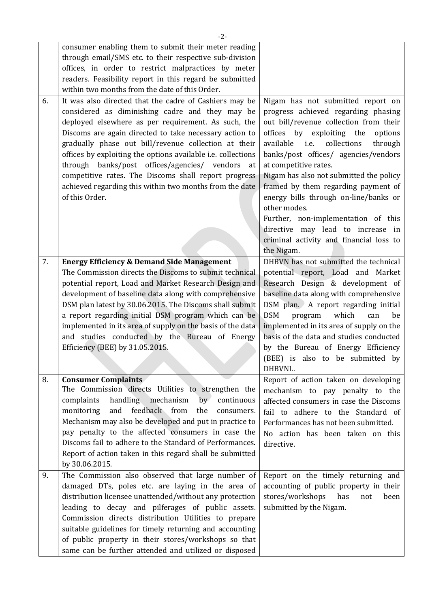|    | $-2-$                                                                                                                                                                                                                                                                                                                                                                                                                                                                                                                                         |                                                                                                                                                                                                                                                                                                                                                                                                                                                                                                                                                            |
|----|-----------------------------------------------------------------------------------------------------------------------------------------------------------------------------------------------------------------------------------------------------------------------------------------------------------------------------------------------------------------------------------------------------------------------------------------------------------------------------------------------------------------------------------------------|------------------------------------------------------------------------------------------------------------------------------------------------------------------------------------------------------------------------------------------------------------------------------------------------------------------------------------------------------------------------------------------------------------------------------------------------------------------------------------------------------------------------------------------------------------|
|    | consumer enabling them to submit their meter reading<br>through email/SMS etc. to their respective sub-division<br>offices, in order to restrict malpractices by meter<br>readers. Feasibility report in this regard be submitted<br>within two months from the date of this Order.                                                                                                                                                                                                                                                           |                                                                                                                                                                                                                                                                                                                                                                                                                                                                                                                                                            |
| 6. | It was also directed that the cadre of Cashiers may be<br>considered as diminishing cadre and they may be<br>deployed elsewhere as per requirement. As such, the<br>Discoms are again directed to take necessary action to<br>gradually phase out bill/revenue collection at their<br>offices by exploiting the options available i.e. collections<br>through banks/post offices/agencies/ vendors<br>at<br>competitive rates. The Discoms shall report progress<br>achieved regarding this within two months from the date<br>of this Order. | Nigam has not submitted report on<br>progress achieved regarding phasing<br>out bill/revenue collection from their<br>offices by exploiting the<br>options<br>i.e.<br>collections<br>available<br>through<br>banks/post offices/ agencies/vendors<br>at competitive rates.<br>Nigam has also not submitted the policy<br>framed by them regarding payment of<br>energy bills through on-line/banks or<br>other modes.<br>Further, non-implementation of this<br>directive may lead to increase in<br>criminal activity and financial loss to<br>the Nigam. |
| 7. | <b>Energy Efficiency &amp; Demand Side Management</b><br>The Commission directs the Discoms to submit technical                                                                                                                                                                                                                                                                                                                                                                                                                               | DHBVN has not submitted the technical<br>potential report, Load and Market                                                                                                                                                                                                                                                                                                                                                                                                                                                                                 |
|    | potential report, Load and Market Research Design and                                                                                                                                                                                                                                                                                                                                                                                                                                                                                         | Research Design & development of                                                                                                                                                                                                                                                                                                                                                                                                                                                                                                                           |
|    | development of baseline data along with comprehensive                                                                                                                                                                                                                                                                                                                                                                                                                                                                                         | baseline data along with comprehensive                                                                                                                                                                                                                                                                                                                                                                                                                                                                                                                     |
|    | DSM plan latest by 30.06.2015. The Discoms shall submit                                                                                                                                                                                                                                                                                                                                                                                                                                                                                       | DSM plan. A report regarding initial                                                                                                                                                                                                                                                                                                                                                                                                                                                                                                                       |
|    | a report regarding initial DSM program which can be                                                                                                                                                                                                                                                                                                                                                                                                                                                                                           | <b>DSM</b><br>which<br>program<br>can<br>be                                                                                                                                                                                                                                                                                                                                                                                                                                                                                                                |
|    | implemented in its area of supply on the basis of the data<br>and studies conducted by the Bureau of Energy                                                                                                                                                                                                                                                                                                                                                                                                                                   | implemented in its area of supply on the<br>basis of the data and studies conducted                                                                                                                                                                                                                                                                                                                                                                                                                                                                        |
|    | Efficiency (BEE) by 31.05.2015.                                                                                                                                                                                                                                                                                                                                                                                                                                                                                                               | by the Bureau of Energy Efficiency                                                                                                                                                                                                                                                                                                                                                                                                                                                                                                                         |
|    |                                                                                                                                                                                                                                                                                                                                                                                                                                                                                                                                               | (BEE) is also to be submitted by<br>DHBVNL.                                                                                                                                                                                                                                                                                                                                                                                                                                                                                                                |
| 8. | <b>Consumer Complaints</b>                                                                                                                                                                                                                                                                                                                                                                                                                                                                                                                    | Report of action taken on developing                                                                                                                                                                                                                                                                                                                                                                                                                                                                                                                       |
|    | The Commission directs Utilities to strengthen the                                                                                                                                                                                                                                                                                                                                                                                                                                                                                            | mechanism to pay penalty to the                                                                                                                                                                                                                                                                                                                                                                                                                                                                                                                            |
|    | handling mechanism<br>by<br>complaints<br>continuous<br>feedback from<br>and<br>monitoring<br>the<br>consumers.                                                                                                                                                                                                                                                                                                                                                                                                                               | affected consumers in case the Discoms                                                                                                                                                                                                                                                                                                                                                                                                                                                                                                                     |
|    | Mechanism may also be developed and put in practice to                                                                                                                                                                                                                                                                                                                                                                                                                                                                                        | fail to adhere to the Standard of<br>Performances has not been submitted.                                                                                                                                                                                                                                                                                                                                                                                                                                                                                  |
|    | pay penalty to the affected consumers in case the                                                                                                                                                                                                                                                                                                                                                                                                                                                                                             | No action has been taken on this                                                                                                                                                                                                                                                                                                                                                                                                                                                                                                                           |
|    | Discoms fail to adhere to the Standard of Performances.                                                                                                                                                                                                                                                                                                                                                                                                                                                                                       | directive.                                                                                                                                                                                                                                                                                                                                                                                                                                                                                                                                                 |
|    | Report of action taken in this regard shall be submitted                                                                                                                                                                                                                                                                                                                                                                                                                                                                                      |                                                                                                                                                                                                                                                                                                                                                                                                                                                                                                                                                            |
|    | by 30.06.2015.                                                                                                                                                                                                                                                                                                                                                                                                                                                                                                                                |                                                                                                                                                                                                                                                                                                                                                                                                                                                                                                                                                            |
| 9. | The Commission also observed that large number of                                                                                                                                                                                                                                                                                                                                                                                                                                                                                             | Report on the timely returning and                                                                                                                                                                                                                                                                                                                                                                                                                                                                                                                         |
|    | damaged DTs, poles etc. are laying in the area of                                                                                                                                                                                                                                                                                                                                                                                                                                                                                             | accounting of public property in their                                                                                                                                                                                                                                                                                                                                                                                                                                                                                                                     |
|    | distribution licensee unattended/without any protection                                                                                                                                                                                                                                                                                                                                                                                                                                                                                       | stores/workshops<br>has<br>been<br>not                                                                                                                                                                                                                                                                                                                                                                                                                                                                                                                     |
|    | leading to decay and pilferages of public assets.                                                                                                                                                                                                                                                                                                                                                                                                                                                                                             | submitted by the Nigam.                                                                                                                                                                                                                                                                                                                                                                                                                                                                                                                                    |
|    | Commission directs distribution Utilities to prepare<br>suitable guidelines for timely returning and accounting                                                                                                                                                                                                                                                                                                                                                                                                                               |                                                                                                                                                                                                                                                                                                                                                                                                                                                                                                                                                            |
|    | of public property in their stores/workshops so that                                                                                                                                                                                                                                                                                                                                                                                                                                                                                          |                                                                                                                                                                                                                                                                                                                                                                                                                                                                                                                                                            |
|    | same can be further attended and utilized or disposed                                                                                                                                                                                                                                                                                                                                                                                                                                                                                         |                                                                                                                                                                                                                                                                                                                                                                                                                                                                                                                                                            |